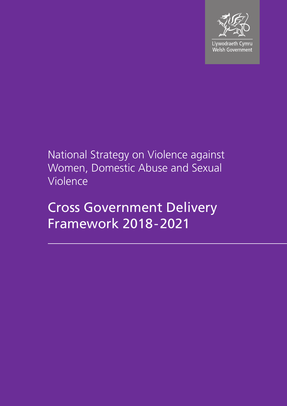

Llywodraeth Cymru Welsh Government

## National Strategy on Violence against Women, Domestic Abuse and Sexual Violence

# Cross Government Delivery Framework 2018-2021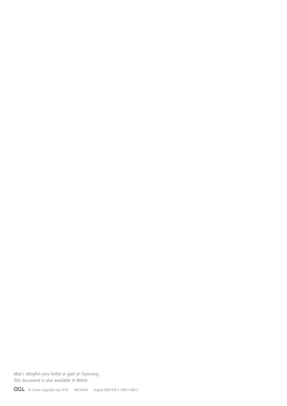Mae'r ddogfen yma hefyd ar gael yn Gymraeg. This document is also available in Welsh.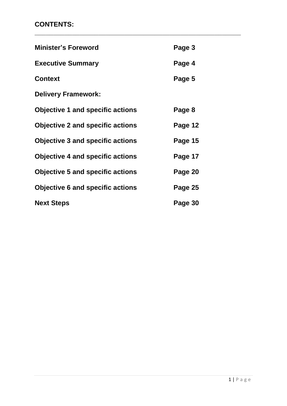## **CONTENTS:**

| <b>Minister's Foreword</b>              | Page 3  |
|-----------------------------------------|---------|
| <b>Executive Summary</b>                | Page 4  |
| <b>Context</b>                          | Page 5  |
| <b>Delivery Framework:</b>              |         |
| <b>Objective 1 and specific actions</b> | Page 8  |
| <b>Objective 2 and specific actions</b> | Page 12 |
| <b>Objective 3 and specific actions</b> | Page 15 |
| <b>Objective 4 and specific actions</b> | Page 17 |
| <b>Objective 5 and specific actions</b> | Page 20 |
| <b>Objective 6 and specific actions</b> | Page 25 |
| <b>Next Steps</b>                       | Page 30 |

**\_\_\_\_\_\_\_\_\_\_\_\_\_\_\_\_\_\_\_\_\_\_\_\_\_\_\_\_\_\_\_\_\_\_\_\_\_\_\_\_\_\_\_\_\_\_\_\_\_\_\_\_\_\_\_**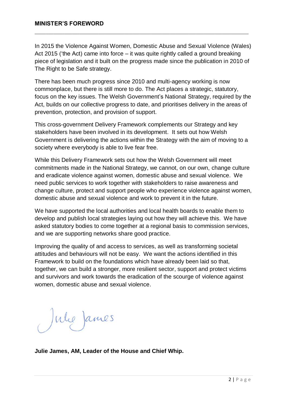In 2015 the Violence Against Women, Domestic Abuse and Sexual Violence (Wales) Act 2015 ('the Act) came into force – it was quite rightly called a ground breaking piece of legislation and it built on the progress made since the publication in 2010 of The Right to be Safe strategy.

**\_\_\_\_\_\_\_\_\_\_\_\_\_\_\_\_\_\_\_\_\_\_\_\_\_\_\_\_\_\_\_\_\_\_\_\_\_\_\_\_\_\_\_\_\_\_\_\_\_\_\_\_\_\_\_\_\_**

There has been much progress since 2010 and multi-agency working is now commonplace, but there is still more to do. The Act places a strategic, statutory, focus on the key issues. The Welsh Government's National Strategy, required by the Act, builds on our collective progress to date, and prioritises delivery in the areas of prevention, protection, and provision of support.

This cross-government Delivery Framework complements our Strategy and key stakeholders have been involved in its development. It sets out how Welsh Government is delivering the actions within the Strategy with the aim of moving to a society where everybody is able to live fear free.

While this Delivery Framework sets out how the Welsh Government will meet commitments made in the National Strategy, we cannot, on our own, change culture and eradicate violence against women, domestic abuse and sexual violence. We need public services to work together with stakeholders to raise awareness and change culture, protect and support people who experience violence against women, domestic abuse and sexual violence and work to prevent it in the future.

We have supported the local authorities and local health boards to enable them to develop and publish local strategies laying out how they will achieve this. We have asked statutory bodies to come together at a regional basis to commission services, and we are supporting networks share good practice.

Improving the quality of and access to services, as well as transforming societal attitudes and behaviours will not be easy. We want the actions identified in this Framework to build on the foundations which have already been laid so that, together, we can build a stronger, more resilient sector, support and protect victims and survivors and work towards the eradication of the scourge of violence against women, domestic abuse and sexual violence.

Julie James

**Julie James, AM, Leader of the House and Chief Whip.**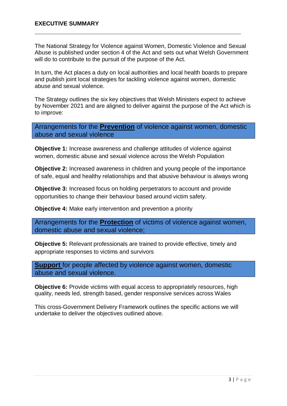The National Strategy for Violence against Women, Domestic Violence and Sexual Abuse is published under section 4 of the Act and sets out what Welsh Government will do to contribute to the pursuit of the purpose of the Act.

**\_\_\_\_\_\_\_\_\_\_\_\_\_\_\_\_\_\_\_\_\_\_\_\_\_\_\_\_\_\_\_\_\_\_\_\_\_\_\_\_\_\_\_\_\_\_\_\_\_\_\_\_\_\_\_**

In turn, the Act places a duty on local authorities and local health boards to prepare and publish joint local strategies for tackling violence against women, domestic abuse and sexual violence.

The Strategy outlines the six key objectives that Welsh Ministers expect to achieve by November 2021 and are aligned to deliver against the purpose of the Act which is to improve:

Arrangements for the **Prevention** of violence against women, domestic abuse and sexual violence

**Objective 1:** Increase awareness and challenge attitudes of violence against women, domestic abuse and sexual violence across the Welsh Population

**Objective 2:** Increased awareness in children and young people of the importance of safe, equal and healthy relationships and that abusive behaviour is always wrong

**Objective 3:** Increased focus on holding perpetrators to account and provide opportunities to change their behaviour based around victim safety.

**Objective 4:** Make early intervention and prevention a priority

Arrangements for the **Protection** of victims of violence against women, domestic abuse and sexual violence;

**Objective 5:** Relevant professionals are trained to provide effective, timely and appropriate responses to victims and survivors

**Support** for people affected by violence against women, domestic abuse and sexual violence.

**Objective 6:** Provide victims with equal access to appropriately resources, high quality, needs led, strength based, gender responsive services across Wales

This cross-Government Delivery Framework outlines the specific actions we will undertake to deliver the objectives outlined above.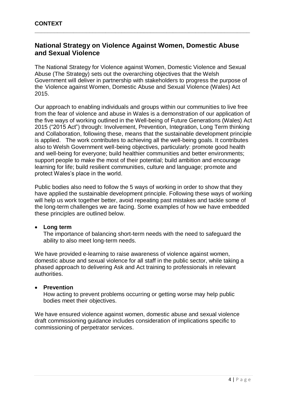### **National Strategy on Violence Against Women, Domestic Abuse and Sexual Violence**

**\_\_\_\_\_\_\_\_\_\_\_\_\_\_\_\_\_\_\_\_\_\_\_\_\_\_\_\_\_\_\_\_\_\_\_\_\_\_\_\_\_\_\_\_\_\_\_\_\_\_\_\_\_\_\_\_\_\_\_\_\_\_\_\_\_\_\_**

The National Strategy for Violence against Women, Domestic Violence and Sexual Abuse (The Strategy) sets out the overarching objectives that the Welsh Government will deliver in partnership with stakeholders to progress the purpose of the Violence against Women, Domestic Abuse and Sexual Violence (Wales) Act 2015.

Our approach to enabling individuals and groups within our communities to live free from the fear of violence and abuse in Wales is a demonstration of our application of the five ways of working outlined in the Well-being of Future Generations (Wales) Act 2015 ("2015 Act") through: Involvement, Prevention, Integration, Long Term thinking and Collaboration, following these, means that the sustainable development principle is applied. The work contributes to achieving all the well-being goals. It contributes also to Welsh Government well-being objectives, particularly: promote good health and well-being for everyone; build healthier communities and better environments; support people to make the most of their potential; build ambition and encourage learning for life; build resilient communities, culture and language; promote and protect Wales's place in the world.

Public bodies also need to follow the 5 ways of working in order to show that they have applied the sustainable development principle. Following these ways of working will help us work together better, avoid repeating past mistakes and tackle some of the long-term challenges we are facing. Some examples of how we have embedded these principles are outlined below.

#### **Long term**

The importance of balancing short-term needs with the need to safeguard the ability to also meet long-term needs.

We have provided e-learning to raise awareness of violence against women, domestic abuse and sexual violence for all staff in the public sector, while taking a phased approach to delivering Ask and Act training to professionals in relevant authorities.

#### **Prevention**

How acting to prevent problems occurring or getting worse may help public bodies meet their objectives.

We have ensured violence against women, domestic abuse and sexual violence draft commissioning guidance includes consideration of implications specific to commissioning of perpetrator services.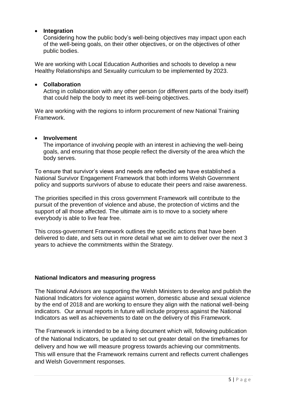#### **Integration**

Considering how the public body's well-being objectives may impact upon each of the well-being goals, on their other objectives, or on the objectives of other public bodies.

We are working with Local Education Authorities and schools to develop a new Healthy Relationships and Sexuality curriculum to be implemented by 2023.

#### **Collaboration**

Acting in collaboration with any other person (or different parts of the body itself) that could help the body to meet its well-being objectives.

We are working with the regions to inform procurement of new National Training Framework.

#### **Involvement**

The importance of involving people with an interest in achieving the well-being goals, and ensuring that those people reflect the diversity of the area which the body serves.

To ensure that survivor's views and needs are reflected we have established a National Survivor Engagement Framework that both informs Welsh Government policy and supports survivors of abuse to educate their peers and raise awareness.

The priorities specified in this cross government Framework will contribute to the pursuit of the prevention of violence and abuse, the protection of victims and the support of all those affected. The ultimate aim is to move to a society where everybody is able to live fear free.

This cross-government Framework outlines the specific actions that have been delivered to date, and sets out in more detail what we aim to deliver over the next 3 years to achieve the commitments within the Strategy.

#### **National Indicators and measuring progress**

The National Advisors are supporting the Welsh Ministers to develop and publish the National Indicators for violence against women, domestic abuse and sexual violence by the end of 2018 and are working to ensure they align with the national well-being indicators. Our annual reports in future will include progress against the National Indicators as well as achievements to date on the delivery of this Framework.

The Framework is intended to be a living document which will, following publication of the National Indicators, be updated to set out greater detail on the timeframes for delivery and how we will measure progress towards achieving our commitments. This will ensure that the Framework remains current and reflects current challenges and Welsh Government responses.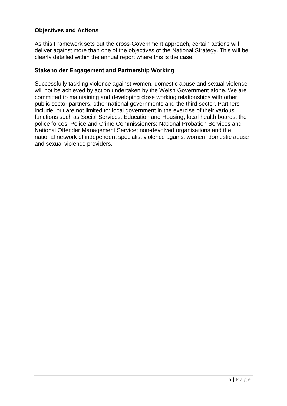#### **Objectives and Actions**

As this Framework sets out the cross-Government approach, certain actions will deliver against more than one of the objectives of the National Strategy. This will be clearly detailed within the annual report where this is the case.

#### **Stakeholder Engagement and Partnership Working**

Successfully tackling violence against women, domestic abuse and sexual violence will not be achieved by action undertaken by the Welsh Government alone. We are committed to maintaining and developing close working relationships with other public sector partners, other national governments and the third sector. Partners include, but are not limited to: local government in the exercise of their various functions such as Social Services, Education and Housing; local health boards; the police forces; Police and Crime Commissioners; National Probation Services and National Offender Management Service; non-devolved organisations and the national network of independent specialist violence against women, domestic abuse and sexual violence providers.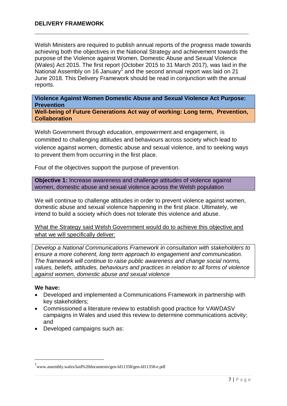Welsh Ministers are required to publish annual reports of the progress made towards achieving both the objectives in the National Strategy and achievement towards the purpose of the Violence against Women, Domestic Abuse and Sexual Violence (Wales) Act 2015. The first report (October 2015 to 31 March 2017), was laid in the National Assembly on 16 January<sup>1</sup> and the second annual report was laid on 21 June 2018. This Delivery Framework should be read in conjunction with the annual reports.

**\_\_\_\_\_\_\_\_\_\_\_\_\_\_\_\_\_\_\_\_\_\_\_\_\_\_\_\_\_\_\_\_\_\_\_\_\_\_\_\_\_\_\_\_\_\_\_\_\_\_\_\_\_\_\_\_\_**

**Violence Against Women Domestic Abuse and Sexual Violence Act Purpose: Prevention**

**Well-being of Future Generations Act way of working: Long term, Prevention, Collaboration**

Welsh Government through education, empowerment and engagement, is committed to challenging attitudes and behaviours across society which lead to violence against women, domestic abuse and sexual violence, and to seeking ways to prevent them from occurring in the first place.

Four of the objectives support the purpose of prevention.

**Objective 1:** Increase awareness and challenge attitudes of violence against women, domestic abuse and sexual violence across the Welsh population

We will continue to challenge attitudes in order to prevent violence against women, domestic abuse and sexual violence happening in the first place. Ultimately, we intend to build a society which does not tolerate this violence and abuse.

What the Strategy said Welsh Government would do to achieve this objective and what we will specifically deliver:

*Develop a National Communications Framework in consultation with stakeholders to ensure a more coherent, long term approach to engagement and communication. The framework will continue to raise public awareness and change social norms, values, beliefs, attitudes, behaviours and practices in relation to all forms of violence against women, domestic abuse and sexual violence*

#### **We have:**

**.** 

- Developed and implemented a Communications Framework in partnership with key stakeholders;
- Commissioned a literature review to establish good practice for VAWDASV campaigns in Wales and used this review to determine communications activity; and
- Developed campaigns such as:

www.assembly.wales/laid%20documents/gen-ld11358/gen-ld11358-e.pdf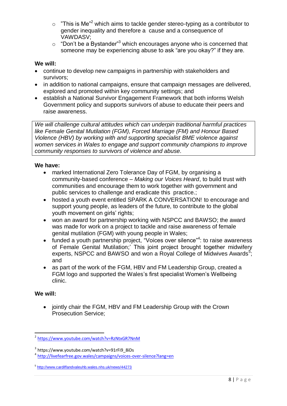- $\circ$  "This is Me"<sup>2</sup> which aims to tackle gender stereo-typing as a contributor to gender inequality and therefore a cause and a consequence of VAWDASV;
- $\circ$  "Don't be a Bystander"<sup>3</sup> which encourages anyone who is concerned that someone may be experiencing abuse to ask "are you okay?" if they are.

#### **We will:**

- continue to develop new campaigns in partnership with stakeholders and survivors;
- in addition to national campaigns, ensure that campaign messages are delivered, explored and promoted within key community settings; and
- establish a National Survivor Engagement Framework that both informs Welsh Government policy and supports survivors of abuse to educate their peers and raise awareness.

*We will challenge cultural attitudes which can underpin traditional harmful practices like Female Genital Mutilation (FGM), Forced Marriage (FM) and Honour Based Violence (HBV) by working with and supporting specialist BME violence against women services in Wales to engage and support community champions to improve community responses to survivors of violence and abuse.*

#### **We have:**

- marked International Zero Tolerance Day of FGM, by organising a community-based conference – *Making our Voices Heard*, to build trust with communities and encourage them to work together with government and public services to challenge and eradicate this practice.;
- hosted a youth event entitled SPARK A CONVERSATION! to encourage and support young people, as leaders of the future, to contribute to the global youth movement on girls' rights;
- won an award for partnership working with NSPCC and BAWSO; the award was made for work on a project to tackle and raise awareness of female genital mutilation (FGM) with young people in Wales;
- funded a youth partnership project, "Voices over silence"<sup>4</sup>: to raise awareness of Female Genital Mutilation;' This joint project brought together midwifery experts, NSPCC and BAWSO and won a Royal College of Midwives Awards<sup>5</sup>; and
- as part of the work of the FGM, HBV and FM Leadership Group, created a FGM logo and supported the Wales's first specialist Women's Wellbeing clinic.

#### **We will:**

• jointly chair the FGM, HBV and FM Leadership Group with the Crown Prosecution Service;

3 https://www.youtube.com/watch?v=91rFi9\_8iDs

<sup>-&</sup>lt;br><sup>2</sup> <https://www.youtube.com/watch?v=RzNtxGR7NnM>

<sup>4</sup> <http://livefearfree.gov.wales/campaigns/voices-over-silence?lang=en>

<sup>5</sup> <http://www.cardiffandvaleuhb.wales.nhs.uk/news/44273>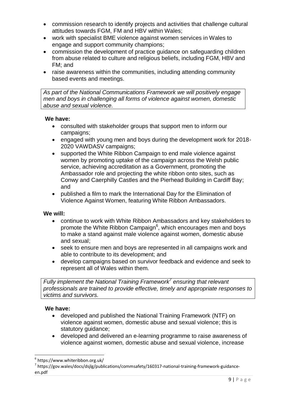- commission research to identify projects and activities that challenge cultural attitudes towards FGM, FM and HBV within Wales;
- work with specialist BME violence against women services in Wales to engage and support community champions;
- commission the development of practice guidance on safeguarding children from abuse related to culture and religious beliefs, including FGM, HBV and FM; and
- raise awareness within the communities, including attending community based events and meetings.

*As part of the National Communications Framework we will positively engage men and boys in challenging all forms of violence against women, domestic abuse and sexual violence.*

#### **We have:**

- consulted with stakeholder groups that support men to inform our campaigns;
- engaged with young men and boys during the development work for 2018- 2020 VAWDASV campaigns;
- supported the White Ribbon Campaign to end male violence against women by promoting uptake of the campaign across the Welsh public service, achieving accreditation as a Government, promoting the Ambassador role and projecting the white ribbon onto sites, such as Conwy and Caerphilly Castles and the Pierhead Building in Cardiff Bay; and
- published a film to mark the International Day for the Elimination of Violence Against Women, featuring White Ribbon Ambassadors.

#### **We will:**

- continue to work with White Ribbon Ambassadors and key stakeholders to promote the White Ribbon Campaign<sup>6</sup>, which encourages men and boys to make a stand against male violence against women, domestic abuse and sexual;
- seek to ensure men and boys are represented in all campaigns work and able to contribute to its development; and
- develop campaigns based on survivor feedback and evidence and seek to represent all of Wales within them.

*Fully implement the National Training Framework<sup>7</sup> ensuring that relevant professionals are trained to provide effective, timely and appropriate responses to victims and survivors.* 

#### **We have:**

- developed and published the National Training Framework (NTF) on violence against women, domestic abuse and sexual violence; this is statutory guidance;
- developed and delivered an e-learning programme to raise awareness of violence against women, domestic abuse and sexual violence, increase

<sup>1</sup> 6 https://www.whiteribbon.org.uk/

 $^{7}$  https://gov.wales/docs/dsjlg/publications/commsafety/160317-national-training-framework-guidanceen.pdf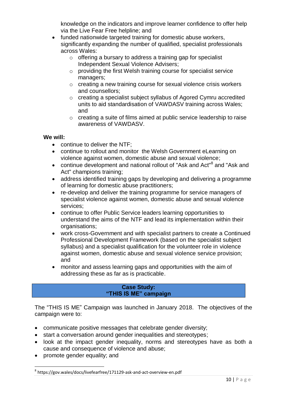knowledge on the indicators and improve learner confidence to offer help via the Live Fear Free helpline; and

- funded nationwide targeted training for domestic abuse workers, significantly expanding the number of qualified, specialist professionals across Wales:
	- o offering a bursary to address a training gap for specialist Independent Sexual Violence Advisers;
	- o providing the first Welsh training course for specialist service managers;
	- o creating a new training course for sexual violence crisis workers and counsellors;
	- o creating a specialist subject syllabus of Agored Cymru accredited units to aid standardisation of VAWDASV training across Wales; and
	- o creating a suite of films aimed at public service leadership to raise awareness of VAWDASV.

#### **We will:**

- continue to deliver the NTF;
- continue to rollout and monitor the Welsh Government eLearning on violence against women, domestic abuse and sexual violence;
- continue development and national rollout of "Ask and Act"<sup>8</sup> and "Ask and Act" champions training;
- address identified training gaps by developing and delivering a programme of learning for domestic abuse practitioners;
- re-develop and deliver the training programme for service managers of specialist violence against women, domestic abuse and sexual violence services;
- continue to offer Public Service leaders learning opportunities to understand the aims of the NTF and lead its implementation within their organisations;
- work cross-Government and with specialist partners to create a Continued Professional Development Framework (based on the specialist subject syllabus) and a specialist qualification for the volunteer role in violence against women, domestic abuse and sexual violence service provision; and
- monitor and assess learning gaps and opportunities with the aim of addressing these as far as is practicable.

#### **Case Study: "THIS IS ME" campaign**

The "THIS IS ME" Campaign was launched in January 2018. The objectives of the campaign were to:

- communicate positive messages that celebrate gender diversity;
- start a conversation around gender inequalities and stereotypes;
- look at the impact gender inequality, norms and stereotypes have as both a cause and consequence of violence and abuse;
- promote gender equality; and

**<sup>.</sup>** 8 https://gov.wales/docs/livefearfree/171129-ask-and-act-overview-en.pdf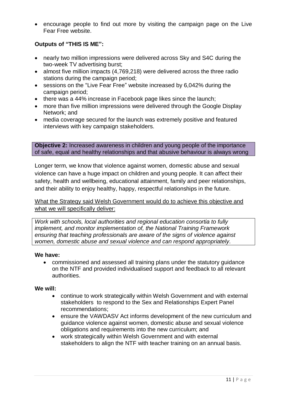• encourage people to find out more by visiting the campaign page on the Live Fear Free website.

#### **Outputs of "THIS IS ME":**

- nearly two million impressions were delivered across Sky and S4C during the two-week TV advertising burst;
- almost five million impacts (4,769,218) were delivered across the three radio stations during the campaign period;
- sessions on the "Live Fear Free" website increased by 6,042% during the campaign period;
- there was a 44% increase in Facebook page likes since the launch;
- more than five million impressions were delivered through the Google Display Network; and
- media coverage secured for the launch was extremely positive and featured interviews with key campaign stakeholders.

**Objective 2:** Increased awareness in children and young people of the importance of safe, equal and healthy relationships and that abusive behaviour is always wrong

Longer term, we know that violence against women, domestic abuse and sexual violence can have a huge impact on children and young people. It can affect their safety, health and wellbeing, educational attainment, family and peer relationships, and their ability to enjoy healthy, happy, respectful relationships in the future.

What the Strategy said Welsh Government would do to achieve this objective and what we will specifically deliver:

*Work with schools, local authorities and regional education consortia to fully implement, and monitor implementation of, the National Training Framework ensuring that teaching professionals are aware of the signs of violence against women, domestic abuse and sexual violence and can respond appropriately.*

#### **We have:**

 commissioned and assessed all training plans under the statutory guidance on the NTF and provided individualised support and feedback to all relevant authorities.

#### **We will:**

- continue to work strategically within Welsh Government and with external stakeholders to respond to the Sex and Relationships Expert Panel recommendations;
- ensure the VAWDASV Act informs development of the new curriculum and guidance violence against women, domestic abuse and sexual violence obligations and requirements into the new curriculum; and
- work strategically within Welsh Government and with external stakeholders to align the NTF with teacher training on an annual basis.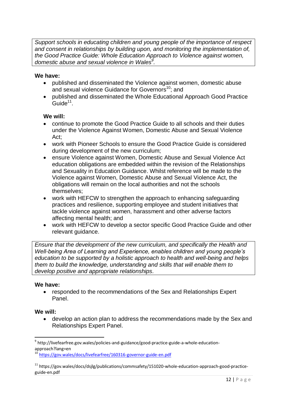*Support schools in educating children and young people of the importance of respect and consent in relationships by building upon, and monitoring the implementation of, the Good Practice Guide: Whole Education Approach to Violence against women, domestic abuse and sexual violence in Wales<sup>9</sup> .*

#### **We have:**

- published and disseminated the Violence against women, domestic abuse and sexual violence Guidance for Governors<sup>10</sup>: and
- published and disseminated the Whole Educational Approach Good Practice  $Guide<sup>11</sup>$ .

#### **We will:**

- continue to promote the Good Practice Guide to all schools and their duties under the Violence Against Women, Domestic Abuse and Sexual Violence Act;
- work with Pioneer Schools to ensure the Good Practice Guide is considered during development of the new curriculum;
- ensure Violence against Women, Domestic Abuse and Sexual Violence Act education obligations are embedded within the revision of the Relationships and Sexuality in Education Guidance. Whilst reference will be made to the Violence against Women, Domestic Abuse and Sexual Violence Act, the obligations will remain on the local authorities and not the schools themselves;
- work with HEFCW to strengthen the approach to enhancing safeguarding practices and resilience, supporting employee and student initiatives that tackle violence against women, harassment and other adverse factors affecting mental health; and
- work with HEFCW to develop a sector specific Good Practice Guide and other relevant guidance.

*Ensure that the development of the new curriculum, and specifically the Health and Well-being Area of Learning and Experience, enables children and young people's education to be supported by a holistic approach to health and well-being and helps them to build the knowledge, understanding and skills that will enable them to develop positive and appropriate relationships.*

#### **We have:**

 responded to the recommendations of the Sex and Relationships Expert Panel.

#### **We will:**

**.** 

 develop an action plan to address the recommendations made by the Sex and Relationships Expert Panel.

<sup>&</sup>lt;sup>9</sup> http://livefearfree.gov.wales/policies-and-guidance/good-practice-guide-a-whole-educationapproach?lang=en

<sup>10</sup> <https://gov.wales/docs/livefearfree/160316-governor-guide-en.pdf>

<sup>&</sup>lt;sup>11</sup> https://gov.wales/docs/dsjlg/publications/commsafety/151020-whole-education-approach-good-practiceguide-en.pdf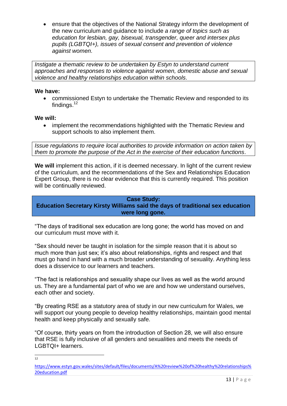ensure that the objectives of the National Strategy inform the development of the new curriculum and guidance to include *a range of topics such as education for lesbian, gay, bisexual, transgender, queer and intersex plus pupils (LGBTQI+), issues of sexual consent and prevention of violence against women.*

*Instigate a thematic review to be undertaken by Estyn to understand current approaches and responses to violence against women, domestic abuse and sexual violence and healthy relationships education within schools.*

#### **We have:**

 commissioned Estyn to undertake the Thematic Review and responded to its findings.<sup>12</sup>

#### **We will:**

 implement the recommendations highlighted with the Thematic Review and support schools to also implement them.

*Issue regulations to require local authorities to provide information on action taken by them to promote the purpose of the Act in the exercise of their education functions.*

**We will** implement this action, if it is deemed necessary. In light of the current review of the curriculum, and the recommendations of the Sex and Relationships Education Expert Group, there is no clear evidence that this is currently required. This position will be continually reviewed.

**Case Study: Education Secretary Kirsty Williams said the days of traditional sex education were long gone.**

"The days of traditional sex education are long gone; the world has moved on and our curriculum must move with it.

"Sex should never be taught in isolation for the simple reason that it is about so much more than just sex; it's also about relationships, rights and respect and that must go hand in hand with a much broader understanding of sexuality. Anything less does a disservice to our learners and teachers.

"The fact is relationships and sexuality shape our lives as well as the world around us. They are a fundamental part of who we are and how we understand ourselves, each other and society.

"By creating RSE as a statutory area of study in our new curriculum for Wales, we will support our young people to develop healthy relationships, maintain good mental health and keep physically and sexually safe.

"Of course, thirty years on from the introduction of Section 28, we will also ensure that RSE is fully inclusive of all genders and sexualities and meets the needs of LGBTQI+ learners.

 $\frac{1}{12}$ 

[https://www.estyn.gov.wales/sites/default/files/documents/A%20review%20of%20healthy%20relationships%](https://www.estyn.gov.wales/sites/default/files/documents/A%20review%20of%20healthy%20relationships%20education.pdf) [20education.pdf](https://www.estyn.gov.wales/sites/default/files/documents/A%20review%20of%20healthy%20relationships%20education.pdf)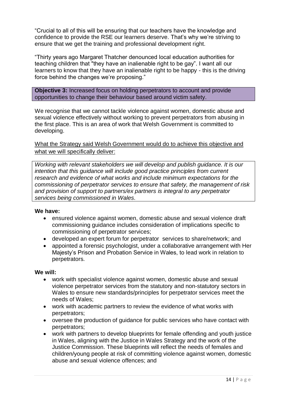"Crucial to all of this will be ensuring that our teachers have the knowledge and confidence to provide the RSE our learners deserve. That's why we're striving to ensure that we get the training and professional development right.

"Thirty years ago Margaret Thatcher denounced local education authorities for teaching children that "they have an inalienable right to be gay". I want all our learners to know that they have an inalienable right to be happy - this is the driving force behind the changes we're proposing."

**Objective 3:** Increased focus on holding perpetrators to account and provide opportunities to change their behaviour based around victim safety.

We recognise that we cannot tackle violence against women, domestic abuse and sexual violence effectively without working to prevent perpetrators from abusing in the first place. This is an area of work that Welsh Government is committed to developing.

What the Strategy said Welsh Government would do to achieve this objective and what we will specifically deliver:

*Working with relevant stakeholders we will develop and publish guidance. It is our intention that this guidance will include good practice principles from current research and evidence of what works and include minimum expectations for the commissioning of perpetrator services to ensure that safety, the management of risk and provision of support to partners/ex partners is integral to any perpetrator services being commissioned in Wales.*

#### **We have:**

- ensured violence against women, domestic abuse and sexual violence draft commissioning guidance includes consideration of implications specific to commissioning of perpetrator services;
- developed an expert forum for perpetrator services to share/network; and
- appointed a forensic psychologist, under a collaborative arrangement with Her Majesty's Prison and Probation Service in Wales, to lead work in relation to perpetrators.

#### **We will:**

- work with specialist violence against women, domestic abuse and sexual violence perpetrator services from the statutory and non-statutory sectors in Wales to ensure new standards/principles for perpetrator services meet the needs of Wales;
- work with academic partners to review the evidence of what works with perpetrators;
- oversee the production of guidance for public services who have contact with perpetrators;
- work with partners to develop blueprints for female offending and youth justice in Wales, aligning with the Justice in Wales Strategy and the work of the Justice Commission. These blueprints will reflect the needs of females and children/young people at risk of committing violence against women, domestic abuse and sexual violence offences; and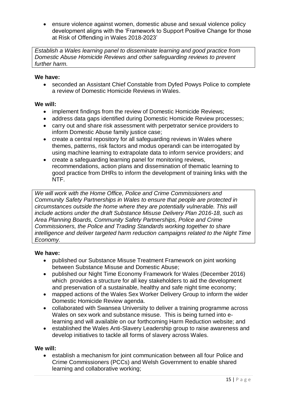ensure violence against women, domestic abuse and sexual violence policy development aligns with the 'Framework to Support Positive Change for those at Risk of Offending in Wales 2018-2023'

*Establish a Wales learning panel to disseminate learning and good practice from Domestic Abuse Homicide Reviews and other safeguarding reviews to prevent further harm.* 

#### **We have:**

 seconded an Assistant Chief Constable from Dyfed Powys Police to complete a review of Domestic Homicide Reviews in Wales.

#### **We will:**

- implement findings from the review of Domestic Homicide Reviews;
- address data gaps identified during Domestic Homicide Review processes;
- carry out and share risk assessment with perpetrator service providers to inform Domestic Abuse family justice case;
- create a central repository for all safeguarding reviews in Wales where themes, patterns, risk factors and modus operandi can be interrogated by using machine learning to extrapolate data to inform service providers; and
- create a safeguarding learning panel for monitoring reviews, recommendations, action plans and dissemination of thematic learning to good practice from DHRs to inform the development of training links with the NTF.

*We will work with the Home Office, Police and Crime Commissioners and Community Safety Partnerships in Wales to ensure that people are protected in circumstances outside the home where they are potentially vulnerable. This will include actions under the draft Substance Misuse Delivery Plan 2016-18, such as Area Planning Boards, Community Safety Partnerships, Police and Crime Commissioners, the Police and Trading Standards working together to share intelligence and deliver targeted harm reduction campaigns related to the Night Time Economy.* 

#### **We have:**

- published our Substance Misuse Treatment Framework on joint working between Substance Misuse and Domestic Abuse;
- published our Night Time Economy Framework for Wales (December 2016) which provides a structure for all key stakeholders to aid the development and preservation of a sustainable, healthy and safe night time economy;
- mapped actions of the Wales Sex Worker Delivery Group to inform the wider Domestic Homicide Review agenda.
- collaborated with Swansea University to deliver a training programme across Wales on sex work and substance misuse. This is being turned into elearning and will available on our forthcoming Harm Reduction website; and
- established the Wales Anti-Slavery Leadership group to raise awareness and develop initiatives to tackle all forms of slavery across Wales.

#### **We will:**

• establish a mechanism for joint communication between all four Police and Crime Commissioners (PCCs) and Welsh Government to enable shared learning and collaborative working;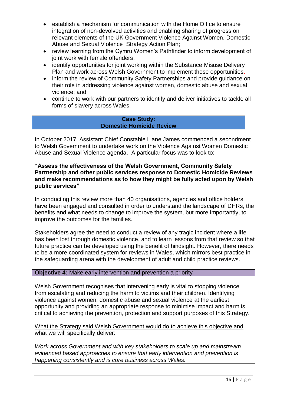- establish a mechanism for communication with the Home Office to ensure integration of non-devolved activities and enabling sharing of progress on relevant elements of the UK Government Violence Against Women, Domestic Abuse and Sexual Violence Strategy Action Plan;
- review learning from the Cymru Women's Pathfinder to inform development of joint work with female offenders;
- identify opportunities for joint working within the Substance Misuse Delivery Plan and work across Welsh Government to implement those opportunities.
- inform the review of Community Safety Partnerships and provide guidance on their role in addressing violence against women, domestic abuse and sexual violence; and
- continue to work with our partners to identify and deliver initiatives to tackle all forms of slavery across Wales.

#### **Case Study: Domestic Homicide Review**

In October 2017, Assistant Chief Constable Liane James commenced a secondment to Welsh Government to undertake work on the Violence Against Women Domestic Abuse and Sexual Violence agenda. A particular focus was to look to:

#### **"Assess the effectiveness of the Welsh Government, Community Safety Partnership and other public services response to Domestic Homicide Reviews and make recommendations as to how they might be fully acted upon by Welsh public services"**

In conducting this review more than 40 organisations, agencies and office holders have been engaged and consulted in order to understand the landscape of DHRs, the benefits and what needs to change to improve the system, but more importantly, to improve the outcomes for the families.

Stakeholders agree the need to conduct a review of any tragic incident where a life has been lost through domestic violence, and to learn lessons from that review so that future practice can be developed using the benefit of hindsight. However, there needs to be a more coordinated system for reviews in Wales, which mirrors best practice in the safeguarding arena with the development of adult and child practice reviews.

#### **Objective 4:** Make early intervention and prevention a priority

Welsh Government recognises that intervening early is vital to stopping violence from escalating and reducing the harm to victims and their children. Identifying violence against women, domestic abuse and sexual violence at the earliest opportunity and providing an appropriate response to minimise impact and harm is critical to achieving the prevention, protection and support purposes of this Strategy.

#### What the Strategy said Welsh Government would do to achieve this objective and what we will specifically deliver:

*Work across Government and with key stakeholders to scale up and mainstream evidenced based approaches to ensure that early intervention and prevention is happening consistently and is core business across Wales.*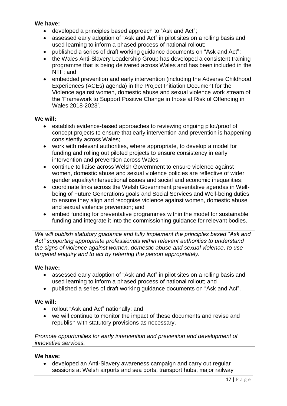#### **We have:**

- developed a principles based approach to "Ask and Act";
- assessed early adoption of "Ask and Act" in pilot sites on a rolling basis and used learning to inform a phased process of national rollout;
- published a series of draft working guidance documents on "Ask and Act";
- the Wales Anti-Slavery Leadership Group has developed a consistent training programme that is being delivered across Wales and has been included in the NTF; and
- embedded prevention and early intervention (including the Adverse Childhood Experiences (ACEs) agenda) in the Project Initiation Document for the Violence against women, domestic abuse and sexual violence work stream of the 'Framework to Support Positive Change in those at Risk of Offending in Wales 2018-2023'.

#### **We will:**

- establish evidence-based approaches to reviewing ongoing pilot/proof of concept projects to ensure that early intervention and prevention is happening consistently across Wales;
- work with relevant authorities, where appropriate, to develop a model for funding and rolling out piloted projects to ensure consistency in early intervention and prevention across Wales;
- continue to liaise across Welsh Government to ensure violence against women, domestic abuse and sexual violence policies are reflective of wider gender equality/intersectional issues and social and economic inequalities;
- coordinate links across the Welsh Government preventative agendas in Wellbeing of Future Generations goals and Social Services and Well-being duties to ensure they align and recognise violence against women, domestic abuse and sexual violence prevention; and
- embed funding for preventative programmes within the model for sustainable funding and integrate it into the commissioning guidance for relevant bodies.

*We will publish statutory guidance and fully implement the principles based "Ask and Act" supporting appropriate professionals within relevant authorities to understand the signs of violence against women, domestic abuse and sexual violence, to use targeted enquiry and to act by referring the person appropriately.*

#### **We have:**

- assessed early adoption of "Ask and Act" in pilot sites on a rolling basis and used learning to inform a phased process of national rollout; and
- published a series of draft working guidance documents on "Ask and Act".

#### **We will:**

- rollout "Ask and Act" nationally; and
- we will continue to monitor the impact of these documents and revise and republish with statutory provisions as necessary.

*Promote opportunities for early intervention and prevention and development of innovative services.*

#### **We have:**

 developed an Anti-Slavery awareness campaign and carry out regular sessions at Welsh airports and sea ports, transport hubs, major railway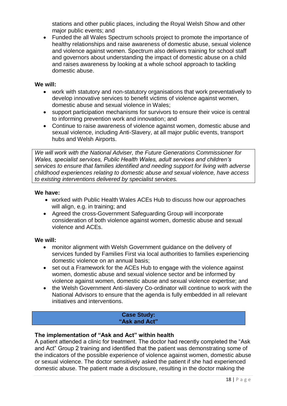stations and other public places, including the Royal Welsh Show and other major public events; and

 Funded the all Wales Spectrum schools project to promote the importance of healthy relationships and raise awareness of domestic abuse, sexual violence and violence against women. Spectrum also delivers training for school staff and governors about understanding the impact of domestic abuse on a child and raises awareness by looking at a whole school approach to tackling domestic abuse.

#### **We will:**

- work with statutory and non-statutory organisations that work preventatively to develop innovative services to benefit victims of violence against women, domestic abuse and sexual violence in Wales;
- support participation mechanisms for survivors to ensure their voice is central to informing prevention work and innovation; and
- Continue to raise awareness of violence against women, domestic abuse and sexual violence, including Anti-Slavery, at all major public events, transport hubs and Welsh Airports.

*We will work with the National Adviser, the Future Generations Commissioner for Wales, specialist services, Public Health Wales, adult services and children's services to ensure that families identified and needing support for living with adverse childhood experiences relating to domestic abuse and sexual violence, have access to existing interventions delivered by specialist services.* 

#### **We have:**

- worked with Public Health Wales ACEs Hub to discuss how our approaches will align, e.g. in training; and
- Agreed the cross-Government Safeguarding Group will incorporate consideration of both violence against women, domestic abuse and sexual violence and ACEs.

#### **We will:**

- monitor alignment with Welsh Government guidance on the delivery of services funded by Families First via local authorities to families experiencing domestic violence on an annual basis;
- set out a Framework for the ACEs Hub to engage with the violence against women, domestic abuse and sexual violence sector and be informed by violence against women, domestic abuse and sexual violence expertise; and
- the Welsh Government Anti-slavery Co-ordinator will continue to work with the National Advisors to ensure that the agenda is fully embedded in all relevant initiatives and interventions.

#### **Case Study: "Ask and Act"**

#### **The implementation of "Ask and Act" within health**

A patient attended a clinic for treatment. The doctor had recently completed the "Ask and Act" Group 2 training and identified that the patient was demonstrating some of the indicators of the possible experience of violence against women, domestic abuse or sexual violence. The doctor sensitively asked the patient if she had experienced domestic abuse. The patient made a disclosure, resulting in the doctor making the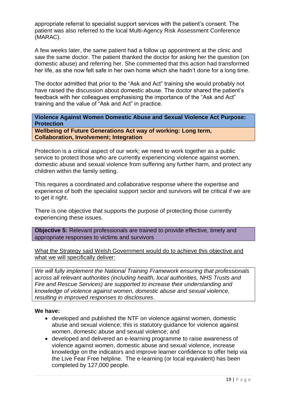appropriate referral to specialist support services with the patient's consent. The patient was also referred to the local Multi-Agency Risk Assessment Conference (MARAC).

A few weeks later, the same patient had a follow up appointment at the clinic and saw the same doctor. The patient thanked the doctor for asking her the question (on domestic abuse) and referring her. She commented that this action had transformed her life, as she now felt safe in her own home which she hadn't done for a long time.

The doctor admitted that prior to the "Ask and Act" training she would probably not have raised the discussion about domestic abuse. The doctor shared the patient's feedback with her colleagues emphasising the importance of the "Ask and Act" training and the value of "Ask and Act" in practice.

**Violence Against Women Domestic Abuse and Sexual Violence Act Purpose: Protection**

**Wellbeing of Future Generations Act way of working: Long term, Collaboration, Involvement; Integration** 

Protection is a critical aspect of our work; we need to work together as a public service to protect those who are currently experiencing violence against women, domestic abuse and sexual violence from suffering any further harm, and protect any children within the family setting.

This requires a coordinated and collaborative response where the expertise and experience of both the specialist support sector and survivors will be critical if we are to get it right.

There is one objective that supports the purpose of protecting those currently experiencing these issues.

**Objective 5:** Relevant professionals are trained to provide effective, timely and appropriate responses to victims and survivors

What the Strategy said Welsh Government would do to achieve this objective and what we will specifically deliver:

*We will fully implement the National Training Framework ensuring that professionals across all relevant authorities (including health, local authorities, NHS Trusts and Fire and Rescue Services) are supported to increase their understanding and knowledge of violence against women, domestic abuse and sexual violence, resulting in improved responses to disclosures.*

#### **We have:**

- developed and published the NTF on violence against women, domestic abuse and sexual violence; this is statutory guidance for violence against women, domestic abuse and sexual violence; and
- developed and delivered an e-learning programme to raise awareness of violence against women, domestic abuse and sexual violence, increase knowledge on the indicators and improve learner confidence to offer help via the Live Fear Free helpline. The e-learning (or local equivalent) has been completed by 127,000 people.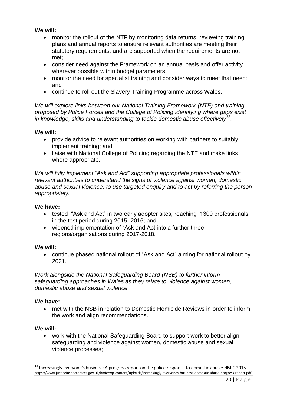#### **We will:**

- monitor the rollout of the NTF by monitoring data returns, reviewing training plans and annual reports to ensure relevant authorities are meeting their statutory requirements, and are supported when the requirements are not met;
- consider need against the Framework on an annual basis and offer activity wherever possible within budget parameters;
- monitor the need for specialist training and consider ways to meet that need; and
- continue to roll out the Slavery Training Programme across Wales.

*We will explore links between our National Training Framework (NTF) and training proposed by Police Forces and the College of Policing identifying where gaps exist in knowledge, skills and understanding to tackle domestic abuse effectively<sup>13</sup> .*

#### **We will:**

- provide advice to relevant authorities on working with partners to suitably implement training; and
- liaise with National College of Policing regarding the NTF and make links where appropriate.

*We will fully implement "Ask and Act" supporting appropriate professionals within relevant authorities to understand the signs of violence against women, domestic abuse and sexual violence, to use targeted enquiry and to act by referring the person appropriately.*

#### **We have:**

- tested "Ask and Act" in two early adopter sites, reaching 1300 professionals in the test period during 2015- 2016; and
- widened implementation of "Ask and Act into a further three regions/organisations during 2017-2018.

#### **We will:**

 continue phased national rollout of "Ask and Act" aiming for national rollout by 2021.

*Work alongside the National Safeguarding Board (NSB) to further inform safeguarding approaches in Wales as they relate to violence against women, domestic abuse and sexual violence.*

#### **We have:**

 met with the NSB in relation to Domestic Homicide Reviews in order to inform the work and align recommendations.

#### **We will:**

1

 work with the National Safeguarding Board to support work to better align safeguarding and violence against women, domestic abuse and sexual violence processes;

<sup>&</sup>lt;sup>13</sup> Increasingly everyone's business: A progress report on the police response to domestic abuse: HMIC 2015 https://www.justiceinspectorates.gov.uk/hmic/wp-content/uploads/increasingly-everyones-business-domestic-abuse-progress-report.pdf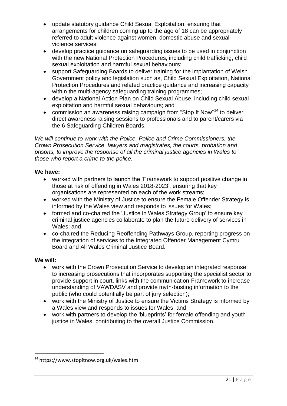- update statutory guidance Child Sexual Exploitation, ensuring that arrangements for children coming up to the age of 18 can be appropriately referred to adult violence against women, domestic abuse and sexual violence services;
- develop practice guidance on safeguarding issues to be used in conjunction with the new National Protection Procedures, including child trafficking, child sexual exploitation and harmful sexual behaviours;
- support Safeguarding Boards to deliver training for the implantation of Welsh Government policy and legislation such as, Child Sexual Exploitation, National Protection Procedures and related practice guidance and increasing capacity within the multi-agency safeguarding training programmes;
- develop a National Action Plan on Child Sexual Abuse, including child sexual exploitation and harmful sexual behaviours; and
- commission an awareness raising campaign from "Stop It Now"<sup>14</sup> to deliver direct awareness raising sessions to professionals and to parent/carers via the 6 Safeguarding Children Boards.

*We will continue to work with the Police, Police and Crime Commissioners, the Crown Prosecution Service, lawyers and magistrates, the courts, probation and prisons, to improve the response of all the criminal justice agencies in Wales to those who report a crime to the police.*

#### **We have:**

- worked with partners to launch the 'Framework to support positive change in those at risk of offending in Wales 2018-2023', ensuring that key organisations are represented on each of the work streams;
- worked with the Ministry of Justice to ensure the Female Offender Strategy is informed by the Wales view and responds to issues for Wales;
- formed and co-chaired the 'Justice in Wales Strategy Group' to ensure key criminal justice agencies collaborate to plan the future delivery of services in Wales; and
- co-chaired the Reducing Reoffending Pathways Group, reporting progress on the integration of services to the Integrated Offender Management Cymru Board and All Wales Criminal Justice Board.

#### **We will:**

**.** 

- work with the Crown Prosecution Service to develop an integrated response to increasing prosecutions that incorporates supporting the specialist sector to provide support in court, links with the communication Framework to increase understanding of VAWDASV and provide myth-busting information to the public (who could potentially be part of jury selection);
- work with the Ministry of Justice to ensure the Victims Strategy is informed by a Wales view and responds to issues for Wales; and
- work with partners to develop the 'blueprints' for female offending and youth justice in Wales, contributing to the overall Justice Commission.

<sup>&</sup>lt;sup>14</sup> <https://www.stopitnow.org.uk/wales.htm>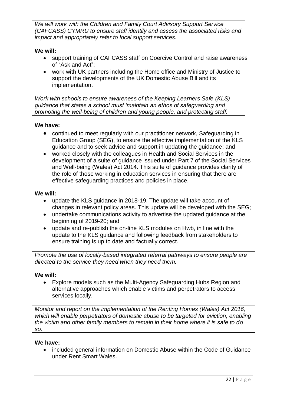*We will work with the Children and Family Court Advisory Support Service (CAFCASS) CYMRU to ensure staff identify and assess the associated risks and impact and appropriately refer to local support services.* 

#### **We will:**

- support training of CAFCASS staff on Coercive Control and raise awareness of "Ask and Act";
- work with UK partners including the Home office and Ministry of Justice to support the developments of the UK Domestic Abuse Bill and its implementation.

*Work with schools to ensure awareness of the Keeping Learners Safe (KLS) guidance that states a school must 'maintain an ethos of safeguarding and promoting the well-being of children and young people, and protecting staff.*

#### **We have:**

- continued to meet regularly with our practitioner network, Safeguarding in Education Group (SEG), to ensure the effective implementation of the KLS guidance and to seek advice and support in updating the guidance; and
- worked closely with the colleagues in Health and Social Services in the development of a suite of guidance issued under Part 7 of the Social Services and Well-being (Wales) Act 2014. This suite of guidance provides clarity of the role of those working in education services in ensuring that there are effective safeguarding practices and policies in place.

#### **We will:**

- update the KLS guidance in 2018-19. The update will take account of changes in relevant policy areas. This update will be developed with the SEG;
- undertake communications activity to advertise the updated guidance at the beginning of 2019-20; and
- update and re-publish the on-line KLS modules on Hwb, in line with the update to the KLS guidance and following feedback from stakeholders to ensure training is up to date and factually correct.

*Promote the use of locally-based integrated referral pathways to ensure people are directed to the service they need when they need them.*

#### **We will:**

 Explore models such as the Multi-Agency Safeguarding Hubs Region and alternative approaches which enable victims and perpetrators to access services locally.

*Monitor and report on the implementation of the Renting Homes (Wales) Act 2016, which will enable perpetrators of domestic abuse to be targeted for eviction, enabling the victim and other family members to remain in their home where it is safe to do so.*

#### **We have:**

• included general information on Domestic Abuse within the Code of Guidance under Rent Smart Wales.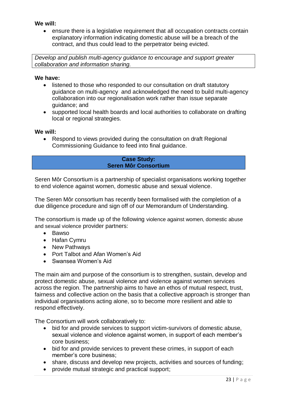#### **We will:**

 ensure there is a legislative requirement that all occupation contracts contain explanatory information indicating domestic abuse will be a breach of the contract, and thus could lead to the perpetrator being evicted.

*Develop and publish multi-agency guidance to encourage and support greater collaboration and information sharing.* 

#### **We have:**

- listened to those who responded to our consultation on draft statutory guidance on multi-agency and acknowledged the need to build multi-agency collaboration into our regionalisation work rather than issue separate guidance; and
- supported local health boards and local authorities to collaborate on drafting local or regional strategies.

#### **We will:**

 Respond to views provided during the consultation on draft Regional Commissioning Guidance to feed into final guidance.

#### **Case Study: Seren Môr Consortium**

Seren Môr Consortium is a partnership of specialist organisations working together to end violence against women, domestic abuse and sexual violence.

The Seren Môr consortium has recently been formalised with the completion of a due diligence procedure and sign off of our Memorandum of Understanding.

The consortium is made up of the following violence against women, domestic abuse and sexual violence provider partners:

- Bawso
- Hafan Cymru
- New Pathways
- Port Talbot and Afan Women's Aid
- Swansea Women's Aid

The main aim and purpose of the consortium is to strengthen, sustain, develop and protect domestic abuse, sexual violence and violence against women services across the region. The partnership aims to have an ethos of mutual respect, trust, fairness and collective action on the basis that a collective approach is stronger than individual organisations acting alone, so to become more resilient and able to respond effectively.

The Consortium will work collaboratively to:

- bid for and provide services to support victim-survivors of domestic abuse, sexual violence and violence against women, in support of each member's core business;
- bid for and provide services to prevent these crimes, in support of each member's core business;
- share, discuss and develop new projects, activities and sources of funding:
- provide mutual strategic and practical support;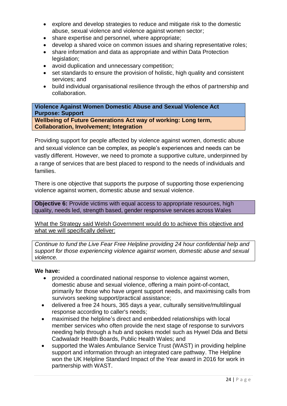- explore and develop strategies to reduce and mitigate risk to the domestic abuse, sexual violence and violence against women sector;
- share expertise and personnel, where appropriate;
- develop a shared voice on common issues and sharing representative roles;
- share information and data as appropriate and within Data Protection legislation;
- avoid duplication and unnecessary competition;
- set standards to ensure the provision of holistic, high quality and consistent services; and
- build individual organisational resilience through the ethos of partnership and collaboration.

**Violence Against Women Domestic Abuse and Sexual Violence Act Purpose: Support Wellbeing of Future Generations Act way of working: Long term, Collaboration, Involvement; Integration**

Providing support for people affected by violence against women, domestic abuse and sexual violence can be complex, as people's experiences and needs can be vastly different. However, we need to promote a supportive culture, underpinned by a range of services that are best placed to respond to the needs of individuals and families.

There is one objective that supports the purpose of supporting those experiencing violence against women, domestic abuse and sexual violence.

**Objective 6:** Provide victims with equal access to appropriate resources, high quality, needs led, strength based, gender responsive services across Wales

What the Strategy said Welsh Government would do to achieve this objective and what we will specifically deliver:

*Continue to fund the Live Fear Free Helpline providing 24 hour confidential help and support for those experiencing violence against women, domestic abuse and sexual violence.*

#### **We have:**

- provided a coordinated national response to violence against women, domestic abuse and sexual violence, offering a main point-of-contact, primarily for those who have urgent support needs, and maximising calls from survivors seeking support/practical assistance;
- delivered a free 24 hours, 365 days a year, culturally sensitive/multilingual response according to caller's needs;
- maximised the helpline's direct and embedded relationships with local member services who often provide the next stage of response to survivors needing help through a hub and spokes model such as Hywel Dda and Betsi Cadwaladr Health Boards, Public Health Wales; and
- supported the Wales Ambulance Service Trust (WAST) in providing helpline support and information through an integrated care pathway. The Helpline won the UK Helpline Standard Impact of the Year award in 2016 for work in partnership with WAST.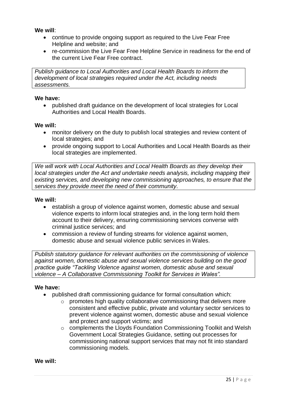**We will**:

- continue to provide ongoing support as required to the Live Fear Free Helpline and website; and
- re-commission the Live Fear Free Helpline Service in readiness for the end of the current Live Fear Free contract.

*Publish guidance to Local Authorities and Local Health Boards to inform the development of local strategies required under the Act, including needs assessments.*

#### **We have:**

 published draft guidance on the development of local strategies for Local Authorities and Local Health Boards.

#### **We will:**

- monitor delivery on the duty to publish local strategies and review content of local strategies; and
- provide ongoing support to Local Authorities and Local Health Boards as their local strategies are implemented.

*We will work with Local Authorities and Local Health Boards as they develop their local strategies under the Act and undertake needs analysis, including mapping their existing services, and developing new commissioning approaches, to ensure that the services they provide meet the need of their community.*

#### **We will:**

- establish a group of violence against women, domestic abuse and sexual violence experts to inform local strategies and, in the long term hold them account to their delivery, ensuring commissioning services converse with criminal justice services; and
- commission a review of funding streams for violence against women, domestic abuse and sexual violence public services in Wales.

*Publish statutory guidance for relevant authorities on the commissioning of violence against women, domestic abuse and sexual violence services building on the good practice guide "Tackling Violence against women, domestic abuse and sexual violence – A Collaborative Commissioning Toolkit for Services in Wales".*

#### **We have:**

- published draft commissioning guidance for formal consultation which:
	- $\circ$  promotes high quality collaborative commissioning that delivers more consistent and effective public, private and voluntary sector services to prevent violence against women, domestic abuse and sexual violence and protect and support victims; and
	- o complements the Lloyds Foundation Commissioning Toolkit and Welsh Government Local Strategies Guidance, setting out processes for commissioning national support services that may not fit into standard commissioning models.

**We will:**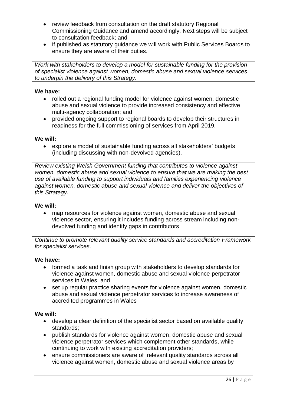- review feedback from consultation on the draft statutory Regional Commissioning Guidance and amend accordingly. Next steps will be subject to consultation feedback; and
- if published as statutory guidance we will work with Public Services Boards to ensure they are aware of their duties.

*Work with stakeholders to develop a model for sustainable funding for the provision of specialist violence against women, domestic abuse and sexual violence services to underpin the delivery of this Strategy.*

#### **We have:**

- rolled out a regional funding model for violence against women, domestic abuse and sexual violence to provide increased consistency and effective multi-agency collaboration; and
- provided ongoing support to regional boards to develop their structures in readiness for the full commissioning of services from April 2019.

#### **We will:**

 explore a model of sustainable funding across all stakeholders' budgets (including discussing with non-devolved agencies).

*Review existing Welsh Government funding that contributes to violence against women, domestic abuse and sexual violence to ensure that we are making the best use of available funding to support individuals and families experiencing violence against women, domestic abuse and sexual violence and deliver the objectives of this Strategy.*

#### **We will:**

 map resources for violence against women, domestic abuse and sexual violence sector, ensuring it includes funding across stream including nondevolved funding and identify gaps in contributors

*Continue to promote relevant quality service standards and accreditation Framework for specialist services.*

#### **We have:**

- formed a task and finish group with stakeholders to develop standards for violence against women, domestic abuse and sexual violence perpetrator services in Wales; and
- set up regular practice sharing events for violence against women, domestic abuse and sexual violence perpetrator services to increase awareness of accredited programmes in Wales

#### **We will:**

- develop a clear definition of the specialist sector based on available quality standards;
- publish standards for violence against women, domestic abuse and sexual violence perpetrator services which complement other standards, while continuing to work with existing accreditation providers;
- ensure commissioners are aware of relevant quality standards across all violence against women, domestic abuse and sexual violence areas by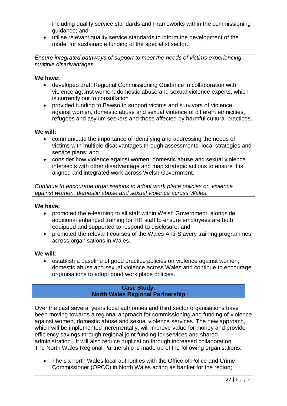including quality service standards and Frameworks within the commissioning guidance; and

 utilise relevant quality service standards to inform the development of the model for sustainable funding of the specialist sector.

*Ensure integrated pathways of support to meet the needs of victims experiencing multiple disadvantages.*

#### **We have:**

- developed draft Regional Commissioning Guidance in collaboration with violence against women, domestic abuse and sexual violence experts, which is currently out to consultation
- provided funding to Bawso to support victims and survivors of violence against women, domestic abuse and sexual violence of different ethnicities, refugees and asylum seekers and those affected by harmful cultural practices.

#### **We will:**

- communicate the importance of identifying and addressing the needs of victims with multiple disadvantages through assessments, local strategies and service plans; and
- consider how violence against women, domestic abuse and sexual violence intersects with other disadvantage and map strategic actions to ensure it is aligned and integrated work across Welsh Government.

*Continue to encourage organisations to adopt work place policies on violence against women, domestic abuse and sexual violence across Wales.*

#### **We have:**

- promoted the e-learning to all staff within Welsh Government, alongside additional enhanced training for HR staff to ensure employees are both equipped and supported to respond to disclosure; and
- promoted the relevant courses of the Wales Anti-Slavery training programmes across organisations in Wales.

#### **We will:**

 establish a baseline of good practice policies on violence against women, domestic abuse and sexual violence across Wales and continue to encourage organisations to adopt good work place policies.

#### **Case Study: North Wales Regional Partnership**

Over the past several years local authorities and third sector organisations have been moving towards a regional approach for commissioning and funding of violence against women, domestic abuse and sexual violence services. The new approach, which will be implemented incrementally, will improve value for money and provide efficiency savings through regional joint funding for services and shared administration. It will also reduce duplication through increased collaboration. The North Wales Regional Partnership is made up of the following organisations:

 The six north Wales local authorities with the Office of Police and Crime Commissioner (OPCC) in North Wales acting as banker for the region;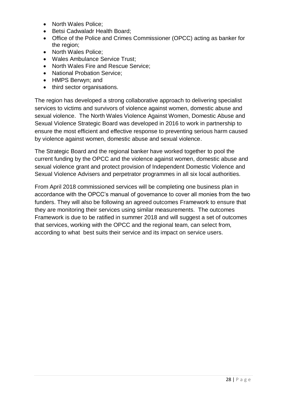- North Wales Police:
- Betsi Cadwaladr Health Board:
- Office of the Police and Crimes Commissioner (OPCC) acting as banker for the region;
- North Wales Police:
- Wales Ambulance Service Trust;
- North Wales Fire and Rescue Service:
- National Probation Service:
- HMPS Berwyn; and
- third sector organisations.

The region has developed a strong collaborative approach to delivering specialist services to victims and survivors of violence against women, domestic abuse and sexual violence. The North Wales Violence Against Women, Domestic Abuse and Sexual Violence Strategic Board was developed in 2016 to work in partnership to ensure the most efficient and effective response to preventing serious harm caused by violence against women, domestic abuse and sexual violence.

The Strategic Board and the regional banker have worked together to pool the current funding by the OPCC and the violence against women, domestic abuse and sexual violence grant and protect provision of Independent Domestic Violence and Sexual Violence Advisers and perpetrator programmes in all six local authorities.

From April 2018 commissioned services will be completing one business plan in accordance with the OPCC's manual of governance to cover all monies from the two funders. They will also be following an agreed outcomes Framework to ensure that they are monitoring their services using similar measurements. The outcomes Framework is due to be ratified in summer 2018 and will suggest a set of outcomes that services, working with the OPCC and the regional team, can select from, according to what best suits their service and its impact on service users.